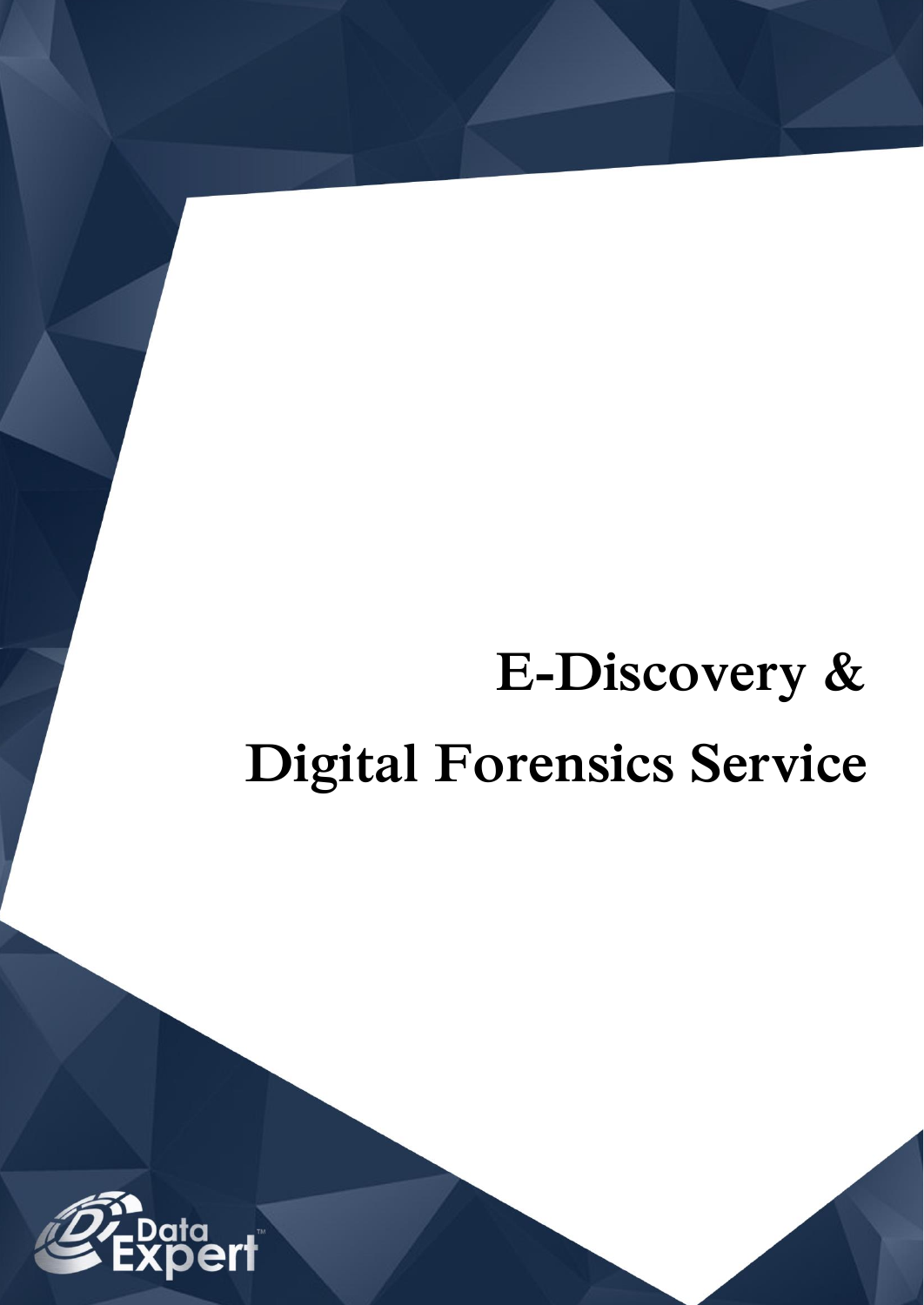# **E-Discovery & Digital Forensics Service**

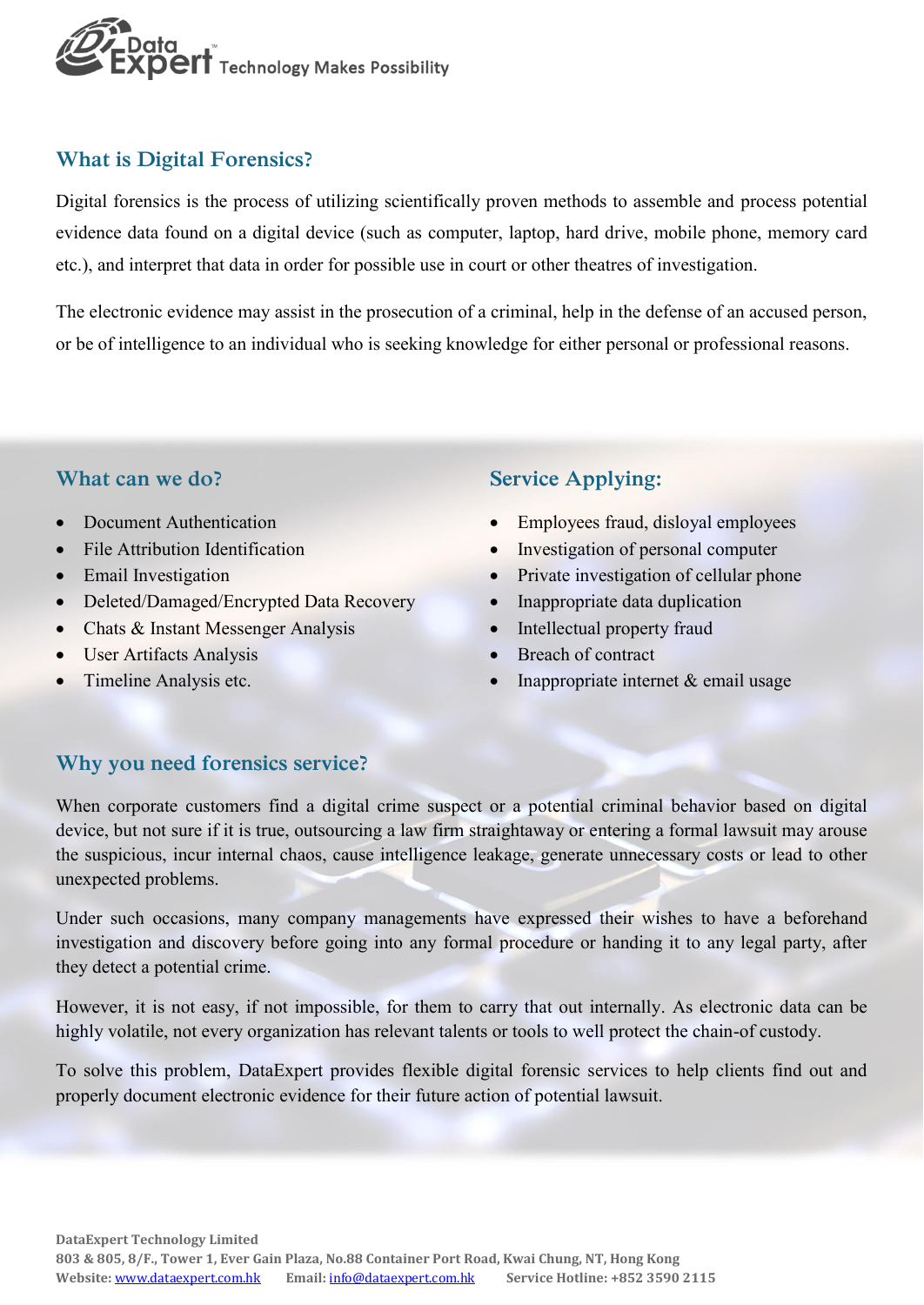

# **What is Digital Forensics?**

Digital forensics is the process of utilizing scientifically proven methods to assemble and process potential evidence data found on a digital device (such as computer, laptop, hard drive, mobile phone, memory card etc.), and interpret that data in order for possible use in court or other theatres of investigation.

The electronic evidence may assist in the prosecution of a criminal, help in the defense of an accused person, or be of intelligence to an individual who is seeking knowledge for either personal or professional reasons.

### **What can we do?**

- Document Authentication
- File Attribution Identification
- Email Investigation
- Deleted/Damaged/Encrypted Data Recovery
- Chats & Instant Messenger Analysis
- User Artifacts Analysis
- Timeline Analysis etc.

## **Service Applying:**

- Employees fraud, disloyal employees
- Investigation of personal computer
- Private investigation of cellular phone
- Inappropriate data duplication
- Intellectual property fraud
- Breach of contract
- Inappropriate internet  $&$  email usage

#### **Why you need forensics service?**

When corporate customers find a digital crime suspect or a potential criminal behavior based on digital device, but not sure if it is true, outsourcing a law firm straightaway or entering a formal lawsuit may arouse the suspicious, incur internal chaos, cause intelligence leakage, generate unnecessary costs or lead to other unexpected problems.

Under such occasions, many company managements have expressed their wishes to have a beforehand investigation and discovery before going into any formal procedure or handing it to any legal party, after they detect a potential crime.

However, it is not easy, if not impossible, for them to carry that out internally. As electronic data can be highly volatile, not every organization has relevant talents or tools to well protect the chain-of custody.

To solve this problem, DataExpert provides flexible digital forensic services to help clients find out and properly document electronic evidence for their future action of potential lawsuit.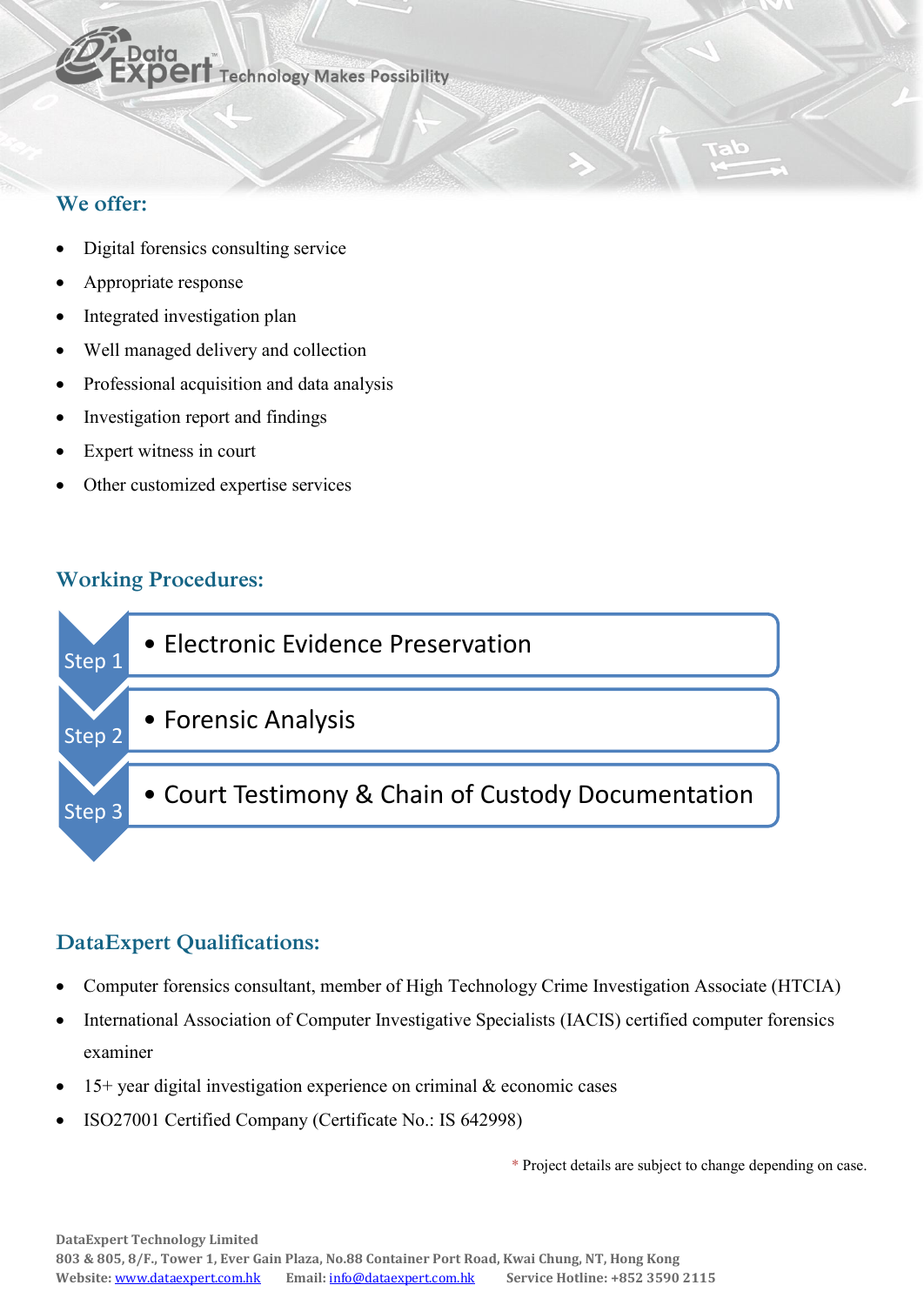

## **We offer:**

- Digital forensics consulting service
- Appropriate response
- Integrated investigation plan
- Well managed delivery and collection
- Professional acquisition and data analysis
- Investigation report and findings
- Expert witness in court
- Other customized expertise services

## **Working Procedures:**



# **DataExpert Qualifications:**

- Computer forensics consultant, member of High Technology Crime Investigation Associate (HTCIA)
- International Association of Computer Investigative Specialists (IACIS) certified computer forensics examiner
- $15+$  year digital investigation experience on criminal  $\&$  economic cases
- ISO27001 Certified Company (Certificate No.: IS 642998)

\* Project details are subject to change depending on case.